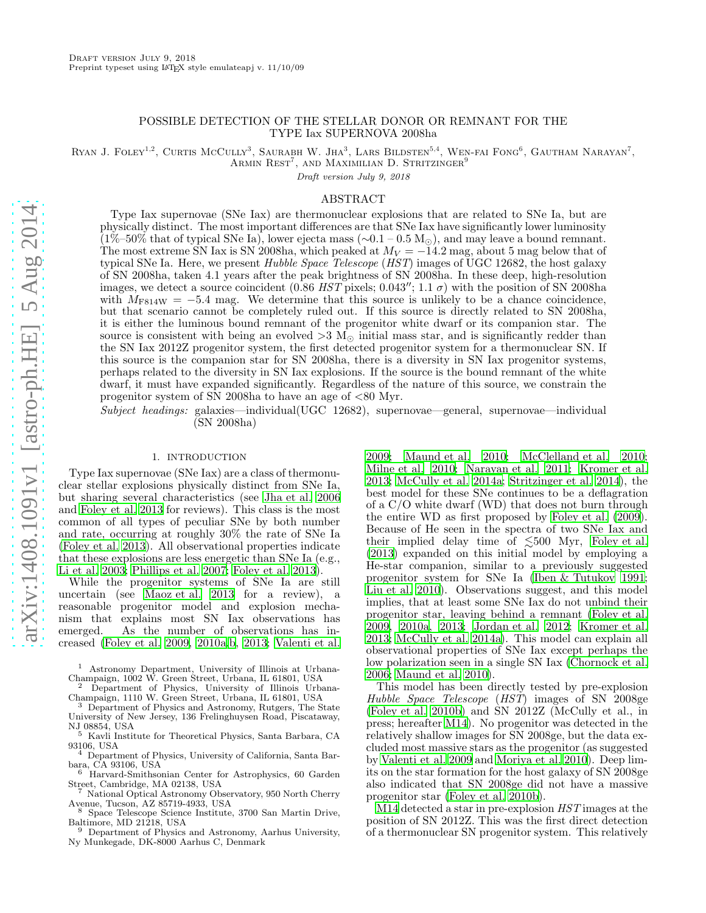# POSSIBLE DETECTION OF THE STELLAR DONOR OR REMNANT FOR THE TYPE Iax SUPERNOVA 2008ha

RYAN J. FOLEY<sup>1,2</sup>, CURTIS MCCULLY<sup>3</sup>, SAURABH W. JHA<sup>3</sup>, LARS BILDSTEN<sup>5,4</sup>, WEN-FAI FONG<sup>6</sup>, GAUTHAM NARAYAN<sup>7</sup>, ARMIN  $\text{REST}^7$ , and Maximilian D. Stritzinger $^9$ 

Draft version July 9, 2018

# ABSTRACT

Type Iax supernovae (SNe Iax) are thermonuclear explosions that are related to SNe Ia, but are physically distinct. The most important differences are that SNe Iax have significantly lower luminosity  $(1\%–50\%$  that of typical SNe Ia), lower ejecta mass ( $\sim 0.1-0.5$  M<sub>☉</sub>), and may leave a bound remnant. The most extreme SN Iax is SN 2008ha, which peaked at  $M_V = -14.2$  mag, about 5 mag below that of typical SNe Ia. Here, we present Hubble Space Telescope (HST) images of UGC 12682, the host galaxy of SN 2008ha, taken 4.1 years after the peak brightness of SN 2008ha. In these deep, high-resolution images, we detect a source coincident (0.86 HST pixels; 0.043"; 1.1  $\sigma$ ) with the position of SN 2008ha with  $M_{F814W} = -5.4$  mag. We determine that this source is unlikely to be a chance coincidence, but that scenario cannot be completely ruled out. If this source is directly related to SN 2008ha, it is either the luminous bound remnant of the progenitor white dwarf or its companion star. The source is consistent with being an evolved  $>3$  M<sub>☉</sub> initial mass star, and is significantly redder than the SN Iax 2012Z progenitor system, the first detected progenitor system for a thermonuclear SN. If this source is the companion star for SN 2008ha, there is a diversity in SN Iax progenitor systems, perhaps related to the diversity in SN Iax explosions. If the source is the bound remnant of the white dwarf, it must have expanded significantly. Regardless of the nature of this source, we constrain the progenitor system of SN 2008ha to have an age of <80 Myr.

Subject headings: galaxies—individual(UGC 12682), supernovae—general, supernovae—individual (SN 2008ha)

### 1. INTRODUCTION

Type Iax supernovae (SNe Iax) are a class of thermonuclear stellar explosions physically distinct from SNe Ia, but sharing several characteristics (see [Jha et al. 2006](#page-7-0) and [Foley et al. 2013](#page-7-1) for reviews). This class is the most common of all types of peculiar SNe by both number and rate, occurring at roughly 30% the rate of SNe Ia [\(Foley et al. 2013](#page-7-1)). All observational properties indicate that these explosions are less energetic than SNe Ia (e.g., [Li et al. 2003;](#page-7-2) [Phillips et al. 2007](#page-7-3); [Foley et al. 2013\)](#page-7-1).

While the progenitor systems of SNe Ia are still uncertain (see [Maoz et al. 2013](#page-7-4) for a review), a reasonable progenitor model and explosion mechanism that explains most SN Iax observations has emerged. As the number of observations has increased [\(Foley et al. 2009,](#page-7-5) [2010a](#page-7-6)[,b](#page-7-7), [2013;](#page-7-1) [Valenti et al.](#page-7-8)

<sup>2</sup> Department of Physics, University of Illinois Urbana-Champaign, 1110 W. Green Street, Urbana, IL 61801, USA

<sup>3</sup> Department of Physics and Astronomy, Rutgers, The State University of New Jersey, 136 Frelinghuysen Road, Piscataway, NJ 08854, USA

<sup>5</sup> Kavli Institute for Theoretical Physics, Santa Barbara, CA 93106, USA

<sup>4</sup> Department of Physics, University of California, Santa Barbara, CA 93106, USA

<sup>6</sup> Harvard-Smithsonian Center for Astrophysics, 60 Garden Street, Cambridge, MA 02138, USA

<sup>7</sup> National Optical Astronomy Observatory, 950 North Cherry Avenue, Tucson, AZ 85719-4933, USA

<sup>8</sup> Space Telescope Science Institute, 3700 San Martin Drive, Baltimore, MD 21218, USA

<sup>9</sup> Department of Physics and Astronomy, Aarhus University, Ny Munkegade, DK-8000 Aarhus C, Denmark

[2009;](#page-7-8) [Maund et al. 2010;](#page-7-9) [McClelland et al. 2010](#page-7-10); [Milne et al. 2010;](#page-7-11) [Narayan et al. 2011;](#page-7-12) [Kromer et al.](#page-7-13) [2013;](#page-7-13) [McCully et al. 2014a;](#page-7-14) [Stritzinger et al. 2014\)](#page-7-15), the best model for these SNe continues to be a deflagration of a C/O white dwarf (WD) that does not burn through the entire WD as first proposed by [Foley et al. \(2009](#page-7-5)). Because of He seen in the spectra of two SNe Iax and their implied delay time of  $\lesssim 500$  Myr, [Foley et al.](#page-7-1) [\(2013\)](#page-7-1) expanded on this initial model by employing a He-star companion, similar to a previously suggested progenitor system for SNe Ia [\(Iben & Tutukov 1991](#page-7-16); [Liu et al. 2010\)](#page-7-17). Observations suggest, and this model implies, that at least some SNe Iax do not unbind their progenitor star, leaving behind a remnant [\(Foley et al.](#page-7-5) [2009,](#page-7-5) [2010a](#page-7-6), [2013;](#page-7-1) [Jordan et al. 2012;](#page-7-18) [Kromer et al.](#page-7-13) [2013;](#page-7-13) [McCully et al. 2014a\)](#page-7-14). This model can explain all observational properties of SNe Iax except perhaps the low polarization seen in a single SN Iax [\(Chornock et al.](#page-7-19) [2006;](#page-7-19) [Maund et al. 2010\)](#page-7-9).

This model has been directly tested by pre-explosion Hubble Space Telescope (HST) images of SN 2008ge [\(Foley et al. 2010b](#page-7-7)) and SN 2012Z (McCully et al., in press; hereafter [M14](#page-7-20)). No progenitor was detected in the relatively shallow images for SN 2008ge, but the data excluded most massive stars as the progenitor (as suggested by [Valenti et al. 2009](#page-7-8) and [Moriya et al. 2010\)](#page-7-21). Deep limits on the star formation for the host galaxy of SN 2008ge also indicated that SN 2008ge did not have a massive progenitor star [\(Foley et al. 2010b](#page-7-7)).

[M14](#page-7-20) detected a star in pre-explosion HST images at the position of SN 2012Z. This was the first direct detection of a thermonuclear SN progenitor system. This relatively

<sup>1</sup> Astronomy Department, University of Illinois at Urbana-Champaign, 1002 W. Green Street, Urbana, IL 61801, USA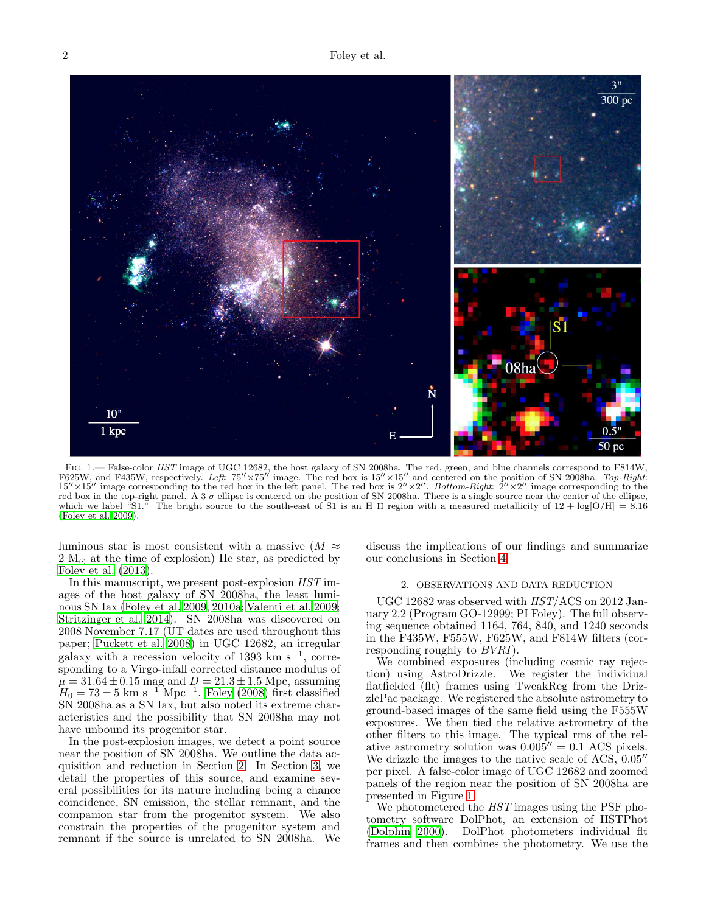

<span id="page-1-1"></span>FIG. 1.— False-color HST image of UGC 12682, the host galaxy of SN 2008ha. The red, green, and blue channels correspond to F814W, F625W, and F435W, respectively. Left:  $75'' \times 75''$  image. The red box is  $15'' \times 15''$  and centered on the position of SN 2008ha. Top-Right:  $15'' \times 15''$  image corresponding to the red box in the left panel. The red box is  $2'' \times 2''$ . Bottom-Right:  $2'' \times 2''$  image corresponding to the red box in the top-right panel. A 3  $\sigma$  ellipse is centered on the position of SN 2008ha. There is a single source near the center of the ellipse, which we label "S1." The bright source to the south-east of S1 is an H II region with a measured metallicity of  $12 + \log(O/H) = 8.16$ [\(Foley et al. 2009](#page-7-5)).

luminous star is most consistent with a massive  $(M \approx$ 2  $M_{\odot}$  at the time of explosion) He star, as predicted by [Foley et al. \(2013\)](#page-7-1).

In this manuscript, we present post-explosion HST images of the host galaxy of SN 2008ha, the least luminous SN Iax [\(Foley et al. 2009](#page-7-5), [2010a;](#page-7-6) [Valenti et al. 2009;](#page-7-8) [Stritzinger et al. 2014\)](#page-7-15). SN 2008ha was discovered on 2008 November 7.17 (UT dates are used throughout this paper; [Puckett et al. 2008\)](#page-7-22) in UGC 12682, an irregular galaxy with a recession velocity of 1393 km s<sup>-1</sup>, corresponding to a Virgo-infall corrected distance modulus of  $\mu = 31.64 \pm 0.15$  mag and  $D = 21.3 \pm 1.5$  Mpc, assuming  $H_0 = 73 \pm 5$  km s<sup>-1</sup><sup>"</sup>Mpc<sup>-1</sup>. [Foley \(2008](#page-7-23)) first classified SN 2008ha as a SN Iax, but also noted its extreme characteristics and the possibility that SN 2008ha may not have unbound its progenitor star.

In the post-explosion images, we detect a point source near the position of SN 2008ha. We outline the data acquisition and reduction in Section [2.](#page-1-0) In Section [3,](#page-2-0) we detail the properties of this source, and examine several possibilities for its nature including being a chance coincidence, SN emission, the stellar remnant, and the companion star from the progenitor system. We also constrain the properties of the progenitor system and remnant if the source is unrelated to SN 2008ha. We

discuss the implications of our findings and summarize our conclusions in Section [4.](#page-5-0)

# 2. OBSERVATIONS AND DATA REDUCTION

<span id="page-1-0"></span>UGC 12682 was observed with HST/ACS on 2012 January 2.2 (Program GO-12999; PI Foley). The full observing sequence obtained 1164, 764, 840, and 1240 seconds in the F435W, F555W, F625W, and F814W filters (corresponding roughly to BVRI).

We combined exposures (including cosmic ray rejection) using AstroDrizzle. We register the individual flatfielded (flt) frames using TweakReg from the DrizzlePac package. We registered the absolute astrometry to ground-based images of the same field using the F555W exposures. We then tied the relative astrometry of the other filters to this image. The typical rms of the relative astrometry solution was  $0.005'' = 0.1$  ACS pixels. We drizzle the images to the native scale of ACS, 0.05′′ per pixel. A false-color image of UGC 12682 and zoomed panels of the region near the position of SN 2008ha are presented in Figure [1.](#page-1-1)

We photometered the  $HST$  images using the PSF photometry software DolPhot, an extension of HSTPhot [\(Dolphin 2000](#page-7-24)). DolPhot photometers individual flt frames and then combines the photometry. We use the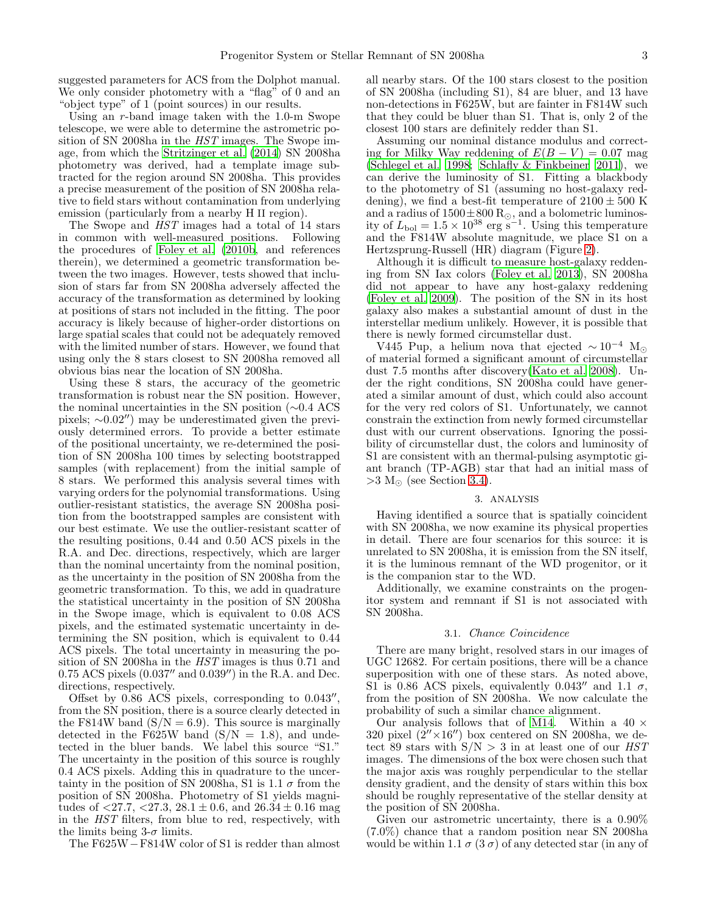suggested parameters for ACS from the Dolphot manual. We only consider photometry with a "flag" of 0 and an "object type" of 1 (point sources) in our results.

Using an r-band image taken with the 1.0-m Swope telescope, we were able to determine the astrometric position of SN 2008ha in the *HST* images. The Swope image, from which the [Stritzinger et al. \(2014\)](#page-7-15) SN 2008ha photometry was derived, had a template image subtracted for the region around SN 2008ha. This provides a precise measurement of the position of SN 2008ha relative to field stars without contamination from underlying emission (particularly from a nearby H II region).

The Swope and HST images had a total of 14 stars in common with well-measured positions. Following the procedures of [Foley et al. \(2010b](#page-7-7), and references therein), we determined a geometric transformation between the two images. However, tests showed that inclusion of stars far from SN 2008ha adversely affected the accuracy of the transformation as determined by looking at positions of stars not included in the fitting. The poor accuracy is likely because of higher-order distortions on large spatial scales that could not be adequately removed with the limited number of stars. However, we found that using only the 8 stars closest to SN 2008ha removed all obvious bias near the location of SN 2008ha.

Using these 8 stars, the accuracy of the geometric transformation is robust near the SN position. However, the nominal uncertainties in the SN position (∼0.4 ACS pixels; ∼0.02′′) may be underestimated given the previously determined errors. To provide a better estimate of the positional uncertainty, we re-determined the position of SN 2008ha 100 times by selecting bootstrapped samples (with replacement) from the initial sample of 8 stars. We performed this analysis several times with varying orders for the polynomial transformations. Using outlier-resistant statistics, the average SN 2008ha position from the bootstrapped samples are consistent with our best estimate. We use the outlier-resistant scatter of the resulting positions, 0.44 and 0.50 ACS pixels in the R.A. and Dec. directions, respectively, which are larger than the nominal uncertainty from the nominal position, as the uncertainty in the position of SN 2008ha from the geometric transformation. To this, we add in quadrature the statistical uncertainty in the position of SN 2008ha in the Swope image, which is equivalent to 0.08 ACS pixels, and the estimated systematic uncertainty in determining the SN position, which is equivalent to 0.44 ACS pixels. The total uncertainty in measuring the position of SN 2008ha in the HST images is thus 0.71 and 0.75 ACS pixels (0.037′′ and 0.039′′) in the R.A. and Dec. directions, respectively.

Offset by  $0.86$  ACS pixels, corresponding to  $0.043''$ , from the SN position, there is a source clearly detected in the F814W band  $(S/N = 6.9)$ . This source is marginally detected in the F625W band  $(S/N = 1.8)$ , and undetected in the bluer bands. We label this source "S1." The uncertainty in the position of this source is roughly 0.4 ACS pixels. Adding this in quadrature to the uncertainty in the position of SN 2008ha, S1 is 1.1  $\sigma$  from the position of SN 2008ha. Photometry of S1 yields magnitudes of  $\langle 27.7, \langle 27.3, 28.1 \pm 0.6, \text{ and } 26.34 \pm 0.16 \text{ mag}$ in the HST filters, from blue to red, respectively, with the limits being  $3-\sigma$  limits.

The F625W−F814W color of S1 is redder than almost

all nearby stars. Of the 100 stars closest to the position of SN 2008ha (including S1), 84 are bluer, and 13 have non-detections in F625W, but are fainter in F814W such that they could be bluer than S1. That is, only 2 of the closest 100 stars are definitely redder than S1.

Assuming our nominal distance modulus and correcting for Milky Way reddening of  $E(B - V) = 0.07$  mag [\(Schlegel et al. 1998;](#page-7-25) [Schlafly & Finkbeiner 2011](#page-7-26)), we can derive the luminosity of S1. Fitting a blackbody to the photometry of S1 (assuming no host-galaxy reddening), we find a best-fit temperature of  $2100 \pm 500$  K and a radius of  $1500 \pm 800$  R<sub>☉</sub>, and a bolometric luminosity of  $L_{\text{bol}} = 1.5 \times 10^{38} \text{ erg s}^{-1}$ . Using this temperature and the F814W absolute magnitude, we place S1 on a Hertzsprung-Russell (HR) diagram (Figure [2\)](#page-3-0).

Although it is difficult to measure host-galaxy reddening from SN Iax colors [\(Foley et al. 2013\)](#page-7-1), SN 2008ha did not appear to have any host-galaxy reddening [\(Foley et al. 2009](#page-7-5)). The position of the SN in its host galaxy also makes a substantial amount of dust in the interstellar medium unlikely. However, it is possible that there is newly formed circumstellar dust.

V445 Pup, a helium nova that ejected  $\sim 10^{-4}$  M of material formed a significant amount of circumstellar dust 7.5 months after discovery[\(Kato et al. 2008\)](#page-7-27). Under the right conditions, SN 2008ha could have generated a similar amount of dust, which could also account for the very red colors of S1. Unfortunately, we cannot constrain the extinction from newly formed circumstellar dust with our current observations. Ignoring the possibility of circumstellar dust, the colors and luminosity of S1 are consistent with an thermal-pulsing asymptotic giant branch (TP-AGB) star that had an initial mass of  $>3$  M<sub> $\odot$ </sub> (see Section [3.4\)](#page-4-0).

### 3. ANALYSIS

<span id="page-2-0"></span>Having identified a source that is spatially coincident with SN 2008ha, we now examine its physical properties in detail. There are four scenarios for this source: it is unrelated to SN 2008ha, it is emission from the SN itself, it is the luminous remnant of the WD progenitor, or it is the companion star to the WD.

Additionally, we examine constraints on the progenitor system and remnant if S1 is not associated with SN 2008ha.

#### 3.1. Chance Coincidence

There are many bright, resolved stars in our images of UGC 12682. For certain positions, there will be a chance superposition with one of these stars. As noted above, S1 is 0.86 ACS pixels, equivalently 0.043<sup>''</sup> and 1.1  $\sigma$ , from the position of SN 2008ha. We now calculate the probability of such a similar chance alignment.

Our analysis follows that of [M14](#page-7-20). Within a 40  $\times$ 320 pixel  $(2'' \times 16'')$  box centered on SN 2008ha, we detect 89 stars with  $S/N > 3$  in at least one of our HST images. The dimensions of the box were chosen such that the major axis was roughly perpendicular to the stellar density gradient, and the density of stars within this box should be roughly representative of the stellar density at the position of SN 2008ha.

Given our astrometric uncertainty, there is a 0.90% (7.0%) chance that a random position near SN 2008ha would be within 1.1  $\sigma$  (3  $\sigma$ ) of any detected star (in any of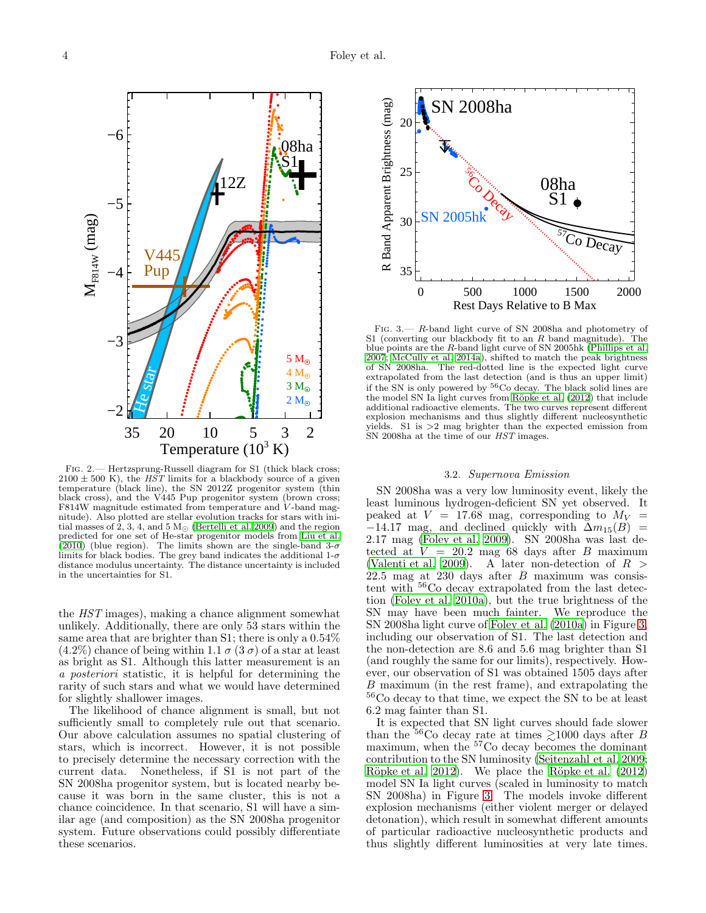

<span id="page-3-0"></span>Fig. 2.— Hertzsprung-Russell diagram for S1 (thick black cross;  $2100 \pm 500$  K), the *HST* limits for a blackbody source of a given temperature (black line), the SN 2012Z progenitor system (thin black cross), and the V445 Pup progenitor system (brown cross; F814W magnitude estimated from temperature and  $\dot{V}$ -band magnitude). Also plotted are stellar evolution tracks for stars with initial masses of 2, 3, 4, and 5  $M_{\odot}$  [\(Bertelli et al. 2009](#page-7-28)) and the region predicted for one set of He-star progenitor models from [Liu et al.](#page-7-17) [\(2010\)](#page-7-17) (blue region). The limits shown are the single-band  $3-\sigma$ limits for black bodies. The grey band indicates the additional  $1-\sigma$ distance modulus uncertainty. The distance uncertainty is included in the uncertainties for S1.

the HST images), making a chance alignment somewhat unlikely. Additionally, there are only 53 stars within the same area that are brighter than S1; there is only a 0.54%  $(4.2\%)$  chance of being within 1.1  $\sigma$  (3  $\sigma$ ) of a star at least as bright as S1. Although this latter measurement is an a posteriori statistic, it is helpful for determining the rarity of such stars and what we would have determined for slightly shallower images.

The likelihood of chance alignment is small, but not sufficiently small to completely rule out that scenario. Our above calculation assumes no spatial clustering of stars, which is incorrect. However, it is not possible to precisely determine the necessary correction with the current data. Nonetheless, if S1 is not part of the SN 2008ha progenitor system, but is located nearby because it was born in the same cluster, this is not a chance coincidence. In that scenario, S1 will have a similar age (and composition) as the SN 2008ha progenitor system. Future observations could possibly differentiate these scenarios.



<span id="page-3-1"></span>Fig. 3.— R-band light curve of SN 2008ha and photometry of S1 (converting our blackbody fit to an  $R$  band magnitude). The blue points are the R-band light curve of SN 2005hk [\(Phillips et al.](#page-7-3) [2007](#page-7-3); [McCully et al. 2014a](#page-7-14)), shifted to match the peak brightness of SN 2008ha. The red-dotted line is the expected light curve extrapolated from the last detection (and is thus an upper limit) if the SN is only powered by  ${}^{56}$ Co decay. The black solid lines are the model SN Ia light curves from Röpke et al. (2012) that include additional radioactive elements. The two curves represent different explosion mechanisms and thus slightly different nucleosynthetic yields. S1 is >2 mag brighter than the expected emission from SN 2008ha at the time of our  $HST$  images.

#### 3.2. Supernova Emission

SN 2008ha was a very low luminosity event, likely the least luminous hydrogen-deficient SN yet observed. It peaked at  $V = 17.68$  mag, corresponding to  $M_V =$  $-14.17$  mag, and declined quickly with  $\Delta m_{15}(B)$  = 2.17 mag [\(Foley et al. 2009\)](#page-7-5). SN 2008ha was last detected at  $V = 20.2$  mag 68 days after B maximum [\(Valenti et al. 2009\)](#page-7-8). A later non-detection of  $R >$  $22.5$  mag at  $230$  days after  $B$  maximum was consistent with <sup>56</sup>Co decay extrapolated from the last detection [\(Foley et al. 2010a\)](#page-7-6), but the true brightness of the SN may have been much fainter. We reproduce the SN 2008ha light curve of [Foley et al. \(2010a\)](#page-7-6) in Figure [3,](#page-3-1) including our observation of S1. The last detection and the non-detection are 8.6 and 5.6 mag brighter than S1 (and roughly the same for our limits), respectively. However, our observation of S1 was obtained 1505 days after B maximum (in the rest frame), and extrapolating the  $^{56}\mathrm{Co}$  decay to that time, we expect the SN to be at least 6.2 mag fainter than S1.

It is expected that SN light curves should fade slower than the <sup>56</sup>Co decay rate at times  $\geq 1000$  days after B maximum, when the <sup>57</sup>Co decay becomes the dominant contribution to the SN luminosity [\(Seitenzahl et al. 2009](#page-7-30); Röpke et al. 2012). We place the Röpke et al. (2012) model SN Ia light curves (scaled in luminosity to match SN 2008ha) in Figure [3.](#page-3-1) The models invoke different explosion mechanisms (either violent merger or delayed detonation), which result in somewhat different amounts of particular radioactive nucleosynthetic products and thus slightly different luminosities at very late times.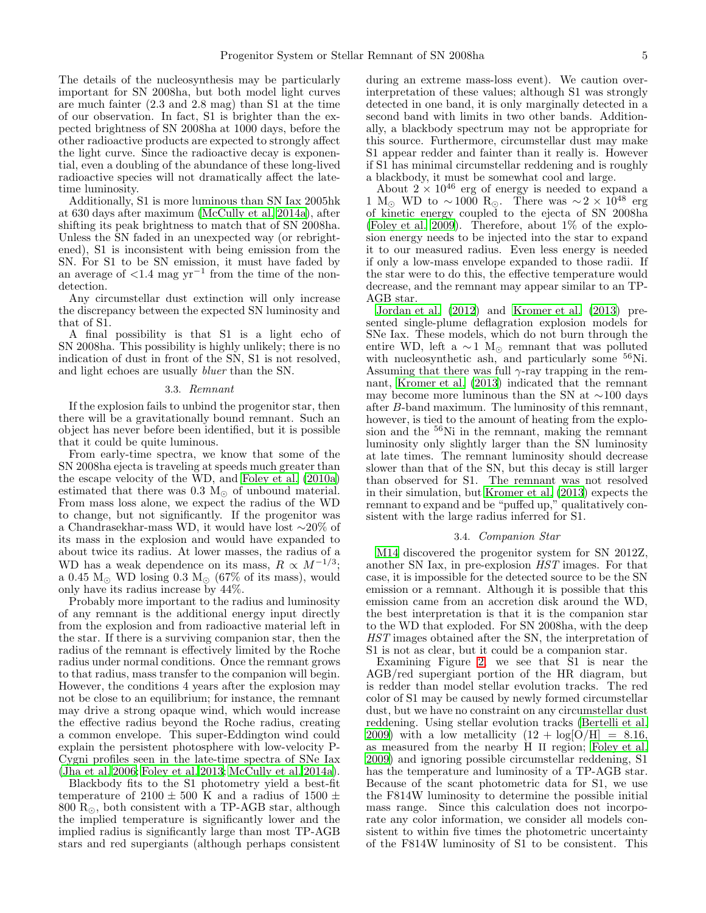The details of the nucleosynthesis may be particularly important for SN 2008ha, but both model light curves are much fainter (2.3 and 2.8 mag) than S1 at the time of our observation. In fact, S1 is brighter than the expected brightness of SN 2008ha at 1000 days, before the other radioactive products are expected to strongly affect the light curve. Since the radioactive decay is exponential, even a doubling of the abundance of these long-lived radioactive species will not dramatically affect the latetime luminosity.

Additionally, S1 is more luminous than SN Iax 2005hk at 630 days after maximum [\(McCully et al. 2014a\)](#page-7-14), after shifting its peak brightness to match that of SN 2008ha. Unless the SN faded in an unexpected way (or rebrightened), S1 is inconsistent with being emission from the SN. For S1 to be SN emission, it must have faded by an average of  $\langle 1.4 \rangle$  mag yr<sup>-1</sup> from the time of the nondetection.

Any circumstellar dust extinction will only increase the discrepancy between the expected SN luminosity and that of S1.

A final possibility is that S1 is a light echo of SN 2008ha. This possibility is highly unlikely; there is no indication of dust in front of the SN, S1 is not resolved, and light echoes are usually bluer than the SN.

#### 3.3. Remnant

If the explosion fails to unbind the progenitor star, then there will be a gravitationally bound remnant. Such an object has never before been identified, but it is possible that it could be quite luminous.

From early-time spectra, we know that some of the SN 2008ha ejecta is traveling at speeds much greater than the escape velocity of the WD, and [Foley et al. \(2010a](#page-7-6)) estimated that there was  $0.3 M_{\odot}$  of unbound material. From mass loss alone, we expect the radius of the WD to change, but not significantly. If the progenitor was a Chandrasekhar-mass WD, it would have lost ∼20% of its mass in the explosion and would have expanded to about twice its radius. At lower masses, the radius of a WD has a weak dependence on its mass,  $R \propto M^{-1/3}$ ; a 0.45  $M_{\odot}$  WD losing 0.3  $M_{\odot}$  (67% of its mass), would only have its radius increase by 44%.

Probably more important to the radius and luminosity of any remnant is the additional energy input directly from the explosion and from radioactive material left in the star. If there is a surviving companion star, then the radius of the remnant is effectively limited by the Roche radius under normal conditions. Once the remnant grows to that radius, mass transfer to the companion will begin. However, the conditions 4 years after the explosion may not be close to an equilibrium; for instance, the remnant may drive a strong opaque wind, which would increase the effective radius beyond the Roche radius, creating a common envelope. This super-Eddington wind could explain the persistent photosphere with low-velocity P-Cygni profiles seen in the late-time spectra of SNe Iax [\(Jha et al. 2006;](#page-7-0) [Foley et al. 2013;](#page-7-1) [McCully et al. 2014a\)](#page-7-14).

Blackbody fits to the S1 photometry yield a best-fit temperature of 2100  $\pm$  500 K and a radius of 1500  $\pm$ 800  $R_{\odot}$ , both consistent with a TP-AGB star, although the implied temperature is significantly lower and the implied radius is significantly large than most TP-AGB stars and red supergiants (although perhaps consistent

during an extreme mass-loss event). We caution overinterpretation of these values; although S1 was strongly detected in one band, it is only marginally detected in a second band with limits in two other bands. Additionally, a blackbody spectrum may not be appropriate for this source. Furthermore, circumstellar dust may make S1 appear redder and fainter than it really is. However if S1 has minimal circumstellar reddening and is roughly a blackbody, it must be somewhat cool and large.

About  $2 \times 10^{46}$  erg of energy is needed to expand a 1 M<sub>☉</sub> WD to ~1000 R<sub>☉</sub>. There was ~2 × 10<sup>48</sup> erg of kinetic energy coupled to the ejecta of SN 2008ha [\(Foley et al. 2009\)](#page-7-5). Therefore, about 1% of the explosion energy needs to be injected into the star to expand it to our measured radius. Even less energy is needed if only a low-mass envelope expanded to those radii. If the star were to do this, the effective temperature would decrease, and the remnant may appear similar to an TP-AGB star.

[Jordan et al. \(2012\)](#page-7-18) and [Kromer et al. \(2013\)](#page-7-13) presented single-plume deflagration explosion models for SNe Iax. These models, which do not burn through the entire WD, left a  $\sim$  1 M<sub>☉</sub> remnant that was polluted with nucleosynthetic ash, and particularly some  $^{56}$ Ni. Assuming that there was full  $\gamma$ -ray trapping in the remnant, [Kromer et al. \(2013\)](#page-7-13) indicated that the remnant may become more luminous than the SN at ∼100 days after B-band maximum. The luminosity of this remnant, however, is tied to the amount of heating from the explosion and the <sup>56</sup>Ni in the remnant, making the remnant luminosity only slightly larger than the SN luminosity at late times. The remnant luminosity should decrease slower than that of the SN, but this decay is still larger than observed for S1. The remnant was not resolved in their simulation, but [Kromer et al. \(2013\)](#page-7-13) expects the remnant to expand and be "puffed up," qualitatively consistent with the large radius inferred for S1.

#### 3.4. Companion Star

<span id="page-4-0"></span>[M14](#page-7-20) discovered the progenitor system for SN 2012Z, another SN Iax, in pre-explosion HST images. For that case, it is impossible for the detected source to be the SN emission or a remnant. Although it is possible that this emission came from an accretion disk around the WD, the best interpretation is that it is the companion star to the WD that exploded. For SN 2008ha, with the deep HST images obtained after the SN, the interpretation of S1 is not as clear, but it could be a companion star.

Examining Figure [2,](#page-3-0) we see that S1 is near the AGB/red supergiant portion of the HR diagram, but is redder than model stellar evolution tracks. The red color of S1 may be caused by newly formed circumstellar dust, but we have no constraint on any circumstellar dust reddening. Using stellar evolution tracks [\(Bertelli et al.](#page-7-28) [2009\)](#page-7-28) with a low metallicity  $(12 + \log(O/H) = 8.16,$ as measured from the nearby H II region; [Foley et al.](#page-7-5) [2009\)](#page-7-5) and ignoring possible circumstellar reddening, S1 has the temperature and luminosity of a TP-AGB star. Because of the scant photometric data for S1, we use the F814W luminosity to determine the possible initial mass range. Since this calculation does not incorporate any color information, we consider all models consistent to within five times the photometric uncertainty of the F814W luminosity of S1 to be consistent. This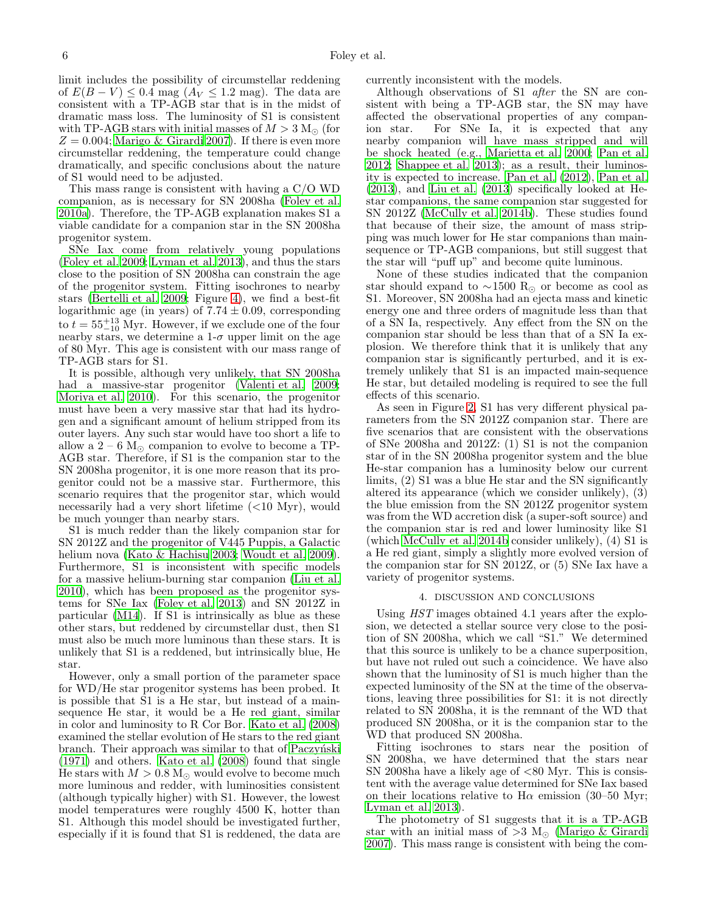limit includes the possibility of circumstellar reddening of  $E(B - V) \leq 0.4$  mag  $(A_V \leq 1.2$  mag). The data are consistent with a TP-AGB star that is in the midst of dramatic mass loss. The luminosity of S1 is consistent with TP-AGB stars with initial masses of  $M > 3$  M<sub>o</sub> (for  $Z = 0.004$ ; [Marigo & Girardi 2007\)](#page-7-31). If there is even more circumstellar reddening, the temperature could change dramatically, and specific conclusions about the nature of S1 would need to be adjusted.

This mass range is consistent with having a C/O WD companion, as is necessary for SN 2008ha [\(Foley et al.](#page-7-6) [2010a\)](#page-7-6). Therefore, the TP-AGB explanation makes S1 a viable candidate for a companion star in the SN 2008ha progenitor system.

SNe Iax come from relatively young populations [\(Foley et al. 2009;](#page-7-5) [Lyman et al. 2013](#page-7-32)), and thus the stars close to the position of SN 2008ha can constrain the age of the progenitor system. Fitting isochrones to nearby stars [\(Bertelli et al. 2009;](#page-7-28) Figure [4\)](#page-6-0), we find a best-fit logarithmic age (in years) of  $7.74 \pm 0.09$ , corresponding to  $t = 55^{+13}_{-10}$  Myr. However, if we exclude one of the four nearby stars, we determine a  $1-\sigma$  upper limit on the age of 80 Myr. This age is consistent with our mass range of TP-AGB stars for S1.

It is possible, although very unlikely, that SN 2008ha had a massive-star progenitor [\(Valenti et al. 2009;](#page-7-8) [Moriya et al. 2010\)](#page-7-21). For this scenario, the progenitor must have been a very massive star that had its hydrogen and a significant amount of helium stripped from its outer layers. Any such star would have too short a life to allow a 2 – 6  $M_{\odot}$  companion to evolve to become a TP-AGB star. Therefore, if S1 is the companion star to the SN 2008ha progenitor, it is one more reason that its progenitor could not be a massive star. Furthermore, this scenario requires that the progenitor star, which would necessarily had a very short lifetime (<10 Myr), would be much younger than nearby stars.

S1 is much redder than the likely companion star for SN 2012Z and the progenitor of V445 Puppis, a Galactic helium nova [\(Kato & Hachisu 2003](#page-7-33); [Woudt et al. 2009\)](#page-7-34). Furthermore, S1 is inconsistent with specific models for a massive helium-burning star companion [\(Liu et al.](#page-7-17) [2010\)](#page-7-17), which has been proposed as the progenitor systems for SNe Iax [\(Foley et al. 2013\)](#page-7-1) and SN 2012Z in particular [\(M14](#page-7-20)). If S1 is intrinsically as blue as these other stars, but reddened by circumstellar dust, then S1 must also be much more luminous than these stars. It is unlikely that S1 is a reddened, but intrinsically blue, He star.

However, only a small portion of the parameter space for WD/He star progenitor systems has been probed. It is possible that S1 is a He star, but instead of a mainsequence He star, it would be a He red giant, similar in color and luminosity to R Cor Bor. [Kato et al. \(2008](#page-7-27)) examined the stellar evolution of He stars to the red giant branch. Their approach was similar to that of Paczyński [\(1971\)](#page-7-35) and others. [Kato et al. \(2008\)](#page-7-27) found that single He stars with  $M > 0.8$  M<sub> $\odot$ </sub> would evolve to become much more luminous and redder, with luminosities consistent (although typically higher) with S1. However, the lowest model temperatures were roughly 4500 K, hotter than S1. Although this model should be investigated further, especially if it is found that S1 is reddened, the data are

currently inconsistent with the models.

Although observations of S1 after the SN are consistent with being a TP-AGB star, the SN may have affected the observational properties of any companion star. For SNe Ia, it is expected that any nearby companion will have mass stripped and will be shock heated (e.g., [Marietta et al. 2000;](#page-7-36) [Pan et al.](#page-7-37) [2012;](#page-7-37) [Shappee et al. 2013\)](#page-7-38); as a result, their luminosity is expected to increase. [Pan et al. \(2012](#page-7-37)), [Pan et al.](#page-7-39) [\(2013\)](#page-7-39), and [Liu et al. \(2013\)](#page-7-40) specifically looked at Hestar companions, the same companion star suggested for SN 2012Z [\(McCully et al. 2014b\)](#page-7-20). These studies found that because of their size, the amount of mass stripping was much lower for He star companions than mainsequence or TP-AGB companions, but still suggest that the star will "puff up" and become quite luminous.

None of these studies indicated that the companion star should expand to  $\sim$ 1500 R<sub>☉</sub> or become as cool as S1. Moreover, SN 2008ha had an ejecta mass and kinetic energy one and three orders of magnitude less than that of a SN Ia, respectively. Any effect from the SN on the companion star should be less than that of a SN Ia explosion. We therefore think that it is unlikely that any companion star is significantly perturbed, and it is extremely unlikely that S1 is an impacted main-sequence He star, but detailed modeling is required to see the full effects of this scenario.

As seen in Figure [2,](#page-3-0) S1 has very different physical parameters from the SN 2012Z companion star. There are five scenarios that are consistent with the observations of SNe 2008ha and 2012Z: (1) S1 is not the companion star of in the SN 2008ha progenitor system and the blue He-star companion has a luminosity below our current limits, (2) S1 was a blue He star and the SN significantly altered its appearance (which we consider unlikely), (3) the blue emission from the SN 2012Z progenitor system was from the WD accretion disk (a super-soft source) and the companion star is red and lower luminosity like S1 (which [McCully et al. 2014b](#page-7-20) consider unlikely), (4) S1 is a He red giant, simply a slightly more evolved version of the companion star for SN 2012Z, or (5) SNe Iax have a variety of progenitor systems.

### 4. DISCUSSION AND CONCLUSIONS

<span id="page-5-0"></span>Using HST images obtained 4.1 years after the explosion, we detected a stellar source very close to the position of SN 2008ha, which we call "S1." We determined that this source is unlikely to be a chance superposition, but have not ruled out such a coincidence. We have also shown that the luminosity of S1 is much higher than the expected luminosity of the SN at the time of the observations, leaving three possibilities for S1: it is not directly related to SN 2008ha, it is the remnant of the WD that produced SN 2008ha, or it is the companion star to the WD that produced SN 2008ha.

Fitting isochrones to stars near the position of SN 2008ha, we have determined that the stars near SN 2008ha have a likely age of  $<80$  Myr. This is consistent with the average value determined for SNe Iax based on their locations relative to  $H\alpha$  emission (30–50 Myr; [Lyman et al. 2013\)](#page-7-32).

The photometry of S1 suggests that it is a TP-AGB star with an initial mass of >3 M<sub>☉</sub> [\(Marigo & Girardi](#page-7-31) [2007\)](#page-7-31). This mass range is consistent with being the com-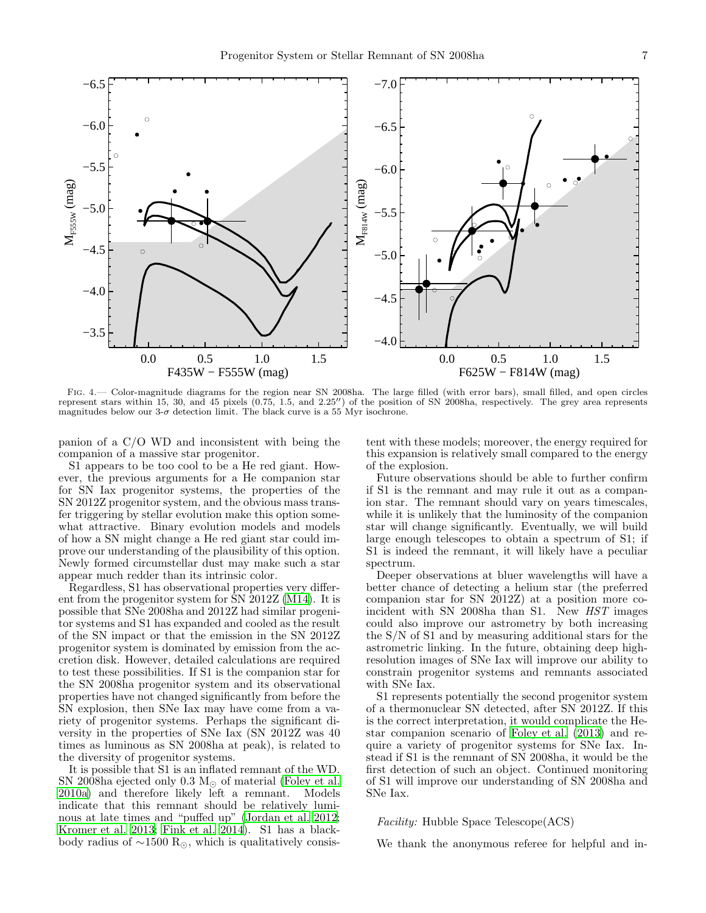

<span id="page-6-0"></span>Fig. 4.— Color-magnitude diagrams for the region near SN 2008ha. The large filled (with error bars), small filled, and open circles represent stars within 15, 30, and 45 pixels (0.75, 1.5, and 2.25′′) of the position of SN 2008ha, respectively. The grey area represents magnitudes below our  $3-\sigma$  detection limit. The black curve is a 55 Myr isochrone.

panion of a C/O WD and inconsistent with being the companion of a massive star progenitor.

S1 appears to be too cool to be a He red giant. However, the previous arguments for a He companion star for SN Iax progenitor systems, the properties of the SN 2012Z progenitor system, and the obvious mass transfer triggering by stellar evolution make this option somewhat attractive. Binary evolution models and models of how a SN might change a He red giant star could improve our understanding of the plausibility of this option. Newly formed circumstellar dust may make such a star appear much redder than its intrinsic color.

Regardless, S1 has observational properties very different from the progenitor system for SN 2012Z [\(M14\)](#page-7-20). It is possible that SNe 2008ha and 2012Z had similar progenitor systems and S1 has expanded and cooled as the result of the SN impact or that the emission in the SN 2012Z progenitor system is dominated by emission from the accretion disk. However, detailed calculations are required to test these possibilities. If S1 is the companion star for the SN 2008ha progenitor system and its observational properties have not changed significantly from before the SN explosion, then SNe Iax may have come from a variety of progenitor systems. Perhaps the significant diversity in the properties of SNe Iax (SN 2012Z was 40 times as luminous as SN 2008ha at peak), is related to the diversity of progenitor systems.

It is possible that S1 is an inflated remnant of the WD. SN 2008ha ejected only 0.3 M<sub> $\odot$ </sub> of material [\(Foley et al.](#page-7-6) [2010a\)](#page-7-6) and therefore likely left a remnant. Models indicate that this remnant should be relatively luminous at late times and "puffed up" [\(Jordan et al. 2012;](#page-7-18) [Kromer et al. 2013;](#page-7-13) [Fink et al. 2014](#page-7-41)). S1 has a blackbody radius of  $\sim$ 1500 R<sub>☉</sub>, which is qualitatively consistent with these models; moreover, the energy required for this expansion is relatively small compared to the energy of the explosion.

Future observations should be able to further confirm if S1 is the remnant and may rule it out as a companion star. The remnant should vary on years timescales, while it is unlikely that the luminosity of the companion star will change significantly. Eventually, we will build large enough telescopes to obtain a spectrum of S1; if S1 is indeed the remnant, it will likely have a peculiar spectrum.

Deeper observations at bluer wavelengths will have a better chance of detecting a helium star (the preferred companion star for SN 2012Z) at a position more coincident with SN 2008ha than S1. New HST images could also improve our astrometry by both increasing the S/N of S1 and by measuring additional stars for the astrometric linking. In the future, obtaining deep highresolution images of SNe Iax will improve our ability to constrain progenitor systems and remnants associated with SNe Iax.

S1 represents potentially the second progenitor system of a thermonuclear SN detected, after SN 2012Z. If this is the correct interpretation, it would complicate the Hestar companion scenario of [Foley et al. \(2013\)](#page-7-1) and require a variety of progenitor systems for SNe Iax. Instead if S1 is the remnant of SN 2008ha, it would be the first detection of such an object. Continued monitoring of S1 will improve our understanding of SN 2008ha and SNe Iax.

Facility: Hubble Space Telescope(ACS)

We thank the anonymous referee for helpful and in-